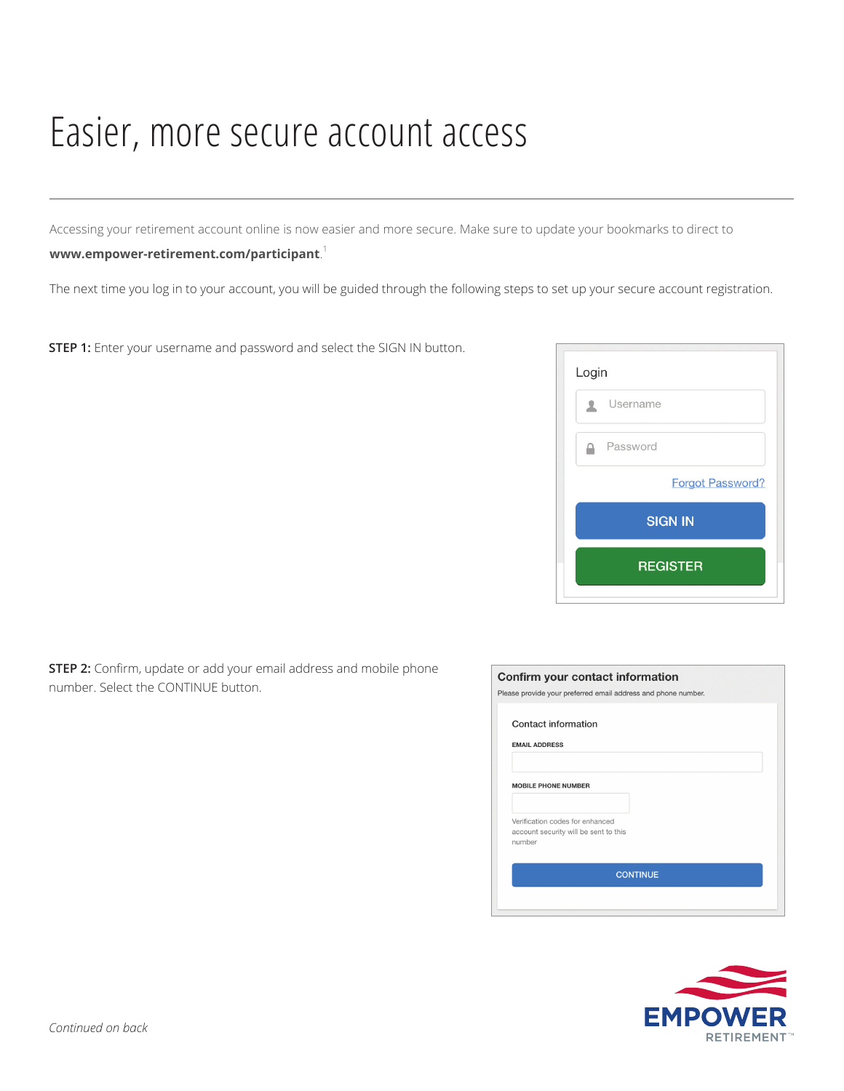## Easier, more secure account access

Accessing your retirement account online is now easier and more secure. Make sure to update your bookmarks to direct to

## **www.empower-retirement.com/participant**. 1

The next time you log in to your account, you will be guided through the following steps to set up your secure account registration.

**STEP 1:** Enter your username and password and select the SIGN IN button.

| Login |                         |  |  |  |  |
|-------|-------------------------|--|--|--|--|
|       | Username                |  |  |  |  |
|       | Password                |  |  |  |  |
|       | <b>Forgot Password?</b> |  |  |  |  |
|       | <b>SIGN IN</b>          |  |  |  |  |
|       | <b>REGISTER</b>         |  |  |  |  |
|       |                         |  |  |  |  |

**STEP 2:** Confirm, update or add your email address and mobile phone number. Select the CONTINUE button.

| Contact information                             |  |
|-------------------------------------------------|--|
| <b>EMAIL ADDRESS</b>                            |  |
|                                                 |  |
| <b>MOBILE PHONE NUMBER</b>                      |  |
|                                                 |  |
| Verification codes for enhanced                 |  |
| account security will be sent to this<br>number |  |
|                                                 |  |